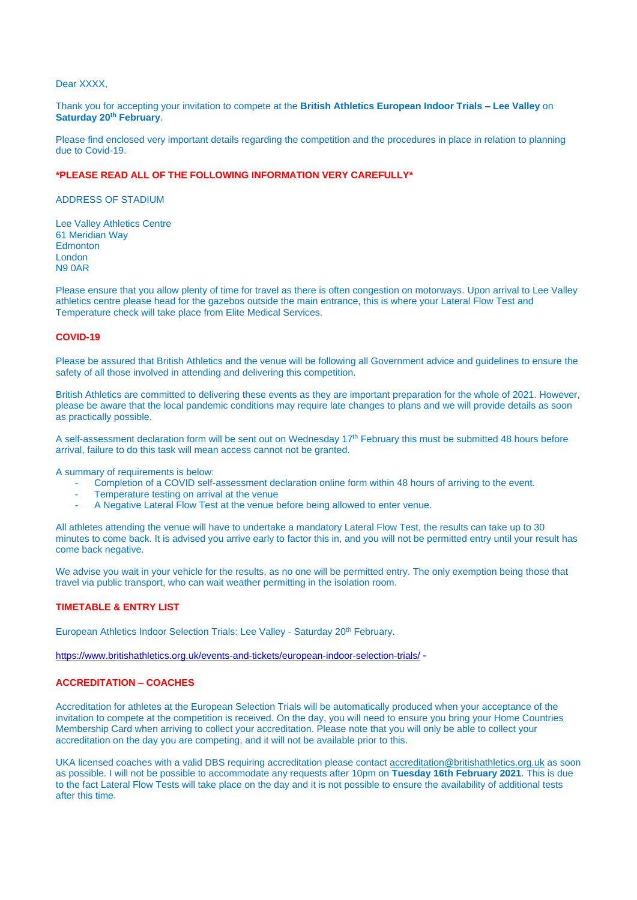#### Dear XXXX.

## Thank you for accepting your invitation to compete at the **British Athletics European Indoor Trials – Lee Valley** on **Saturday 20th February**.

Please find enclosed very important details regarding the competition and the procedures in place in relation to planning due to Covid-19.

## **\*PLEASE READ ALL OF THE FOLLOWING INFORMATION VERY CAREFULLY\***

ADDRESS OF STADIUM

Lee Valley Athletics Centre 61 Meridian Way **Edmonton** London N9 0AR

Please ensure that you allow plenty of time for travel as there is often congestion on motorways. Upon arrival to Lee Valley athletics centre please head for the gazebos outside the main entrance, this is where your Lateral Flow Test and Temperature check will take place from Elite Medical Services.

#### **COVID-19**

Please be assured that British Athletics and the venue will be following all Government advice and guidelines to ensure the safety of all those involved in attending and delivering this competition.

British Athletics are committed to delivering these events as they are important preparation for the whole of 2021. However, please be aware that the local pandemic conditions may require late changes to plans and we will provide details as soon as practically possible.

A self-assessment declaration form will be sent out on Wednesday 17<sup>th</sup> February this must be submitted 48 hours before arrival, failure to do this task will mean access cannot not be granted.

A summary of requirements is below:

- Completion of a COVID self-assessment declaration online form within 48 hours of arriving to the event.
- Temperature testing on arrival at the venue
- A Negative Lateral Flow Test at the venue before being allowed to enter venue.

All athletes attending the venue will have to undertake a mandatory Lateral Flow Test, the results can take up to 30 minutes to come back. It is advised you arrive early to factor this in, and you will not be permitted entry until your result has come back negative.

We advise you wait in your vehicle for the results, as no one will be permitted entry. The only exemption being those that travel via public transport, who can wait weather permitting in the isolation room.

## **TIMETABLE & ENTRY LIST**

European Athletics Indoor Selection Trials: Lee Valley - Saturday 20<sup>th</sup> February.

<https://www.britishathletics.org.uk/events-and-tickets/european-indoor-selection-trials/> -

## **ACCREDITATION – COACHES**

Accreditation for athletes at the European Selection Trials will be automatically produced when your acceptance of the invitation to compete at the competition is received. On the day, you will need to ensure you bring your Home Countries Membership Card when arriving to collect your accreditation. Please note that you will only be able to collect your accreditation on the day you are competing, and it will not be available prior to this.

UKA licensed coaches with a valid DBS requiring accreditation please contact [accreditation@britishathletics.org.uk](mailto:accreditation@britishathletics.org.uk) as soon as possible. I will not be possible to accommodate any requests after 10pm on **Tuesday 16th February 2021**. This is due to the fact Lateral Flow Tests will take place on the day and it is not possible to ensure the availability of additional tests after this time.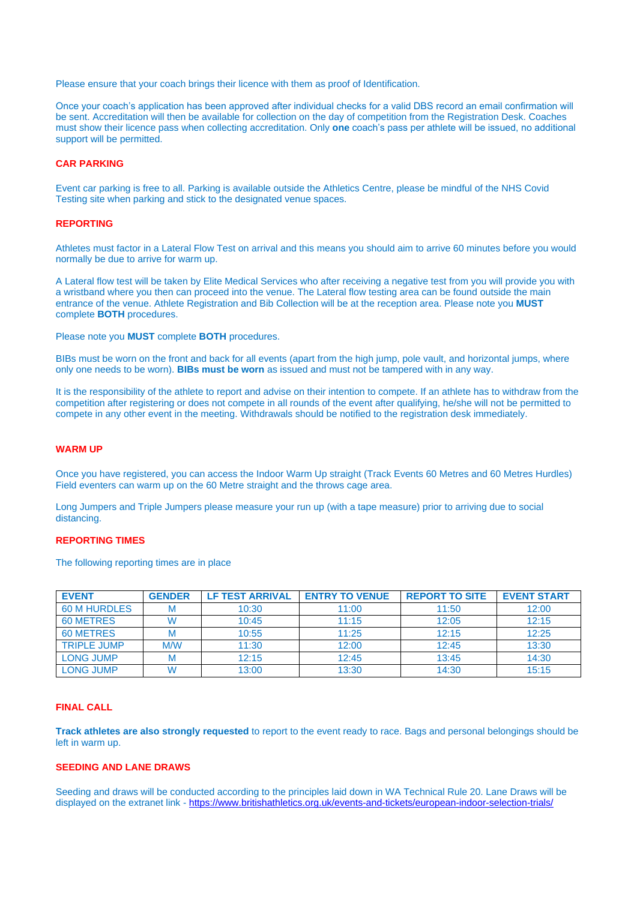Please ensure that your coach brings their licence with them as proof of Identification.

Once your coach's application has been approved after individual checks for a valid DBS record an email confirmation will be sent. Accreditation will then be available for collection on the day of competition from the Registration Desk. Coaches must show their licence pass when collecting accreditation. Only **one** coach's pass per athlete will be issued, no additional support will be permitted.

## **CAR PARKING**

Event car parking is free to all. Parking is available outside the Athletics Centre, please be mindful of the NHS Covid Testing site when parking and stick to the designated venue spaces.

## **REPORTING**

Athletes must factor in a Lateral Flow Test on arrival and this means you should aim to arrive 60 minutes before you would normally be due to arrive for warm up.

A Lateral flow test will be taken by Elite Medical Services who after receiving a negative test from you will provide you with a wristband where you then can proceed into the venue. The Lateral flow testing area can be found outside the main entrance of the venue. Athlete Registration and Bib Collection will be at the reception area. Please note you **MUST** complete **BOTH** procedures.

Please note you **MUST** complete **BOTH** procedures.

BIBs must be worn on the front and back for all events (apart from the high jump, pole vault, and horizontal jumps, where only one needs to be worn). **BIBs must be worn** as issued and must not be tampered with in any way.

It is the responsibility of the athlete to report and advise on their intention to compete. If an athlete has to withdraw from the competition after registering or does not compete in all rounds of the event after qualifying, he/she will not be permitted to compete in any other event in the meeting. Withdrawals should be notified to the registration desk immediately.

#### **WARM UP**

Once you have registered, you can access the Indoor Warm Up straight (Track Events 60 Metres and 60 Metres Hurdles) Field eventers can warm up on the 60 Metre straight and the throws cage area.

Long Jumpers and Triple Jumpers please measure your run up (with a tape measure) prior to arriving due to social distancing.

## **REPORTING TIMES**

The following reporting times are in place

| <b>EVENT</b>        | <b>GENDER</b> | <b>LF TEST ARRIVAL</b> | <b>ENTRY TO VENUE</b> | <b>REPORT TO SITE</b> | <b>EVENT START</b> |
|---------------------|---------------|------------------------|-----------------------|-----------------------|--------------------|
| <b>60 M HURDLES</b> |               | 10:30                  | 11:00                 | 11:50                 | 12:00              |
| <b>60 METRES</b>    | W             | 10:45                  | 11:15                 | 12:05                 | 12:15              |
| 60 METRES           |               | 10:55                  | 11:25                 | 12:15                 | 12:25              |
| <b>TRIPLE JUMP</b>  | M/W           | 11:30                  | 12:00                 | 12:45                 | 13:30              |
| <b>LONG JUMP</b>    | M             | 12:15                  | 12:45                 | 13:45                 | 14:30              |
| <b>LONG JUMP</b>    | W             | 13:00                  | 13:30                 | 14:30                 | 15:15              |

## **FINAL CALL**

**Track athletes are also strongly requested** to report to the event ready to race. Bags and personal belongings should be left in warm up.

## **SEEDING AND LANE DRAWS**

Seeding and draws will be conducted according to the principles laid down in WA Technical Rule 20. Lane Draws will be displayed on the extranet link - <https://www.britishathletics.org.uk/events-and-tickets/european-indoor-selection-trials/>